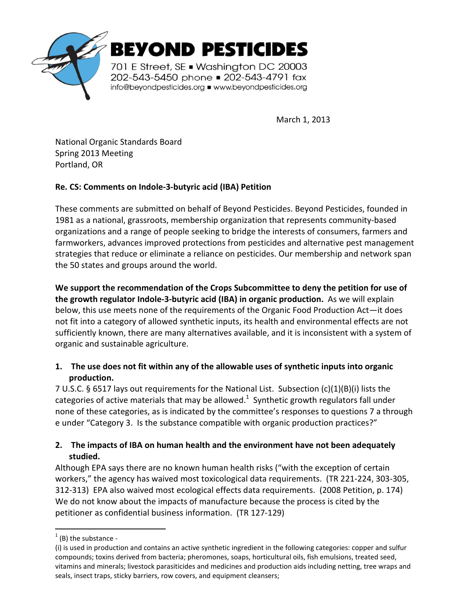

March 1, 2013

National Organic Standards Board Spring 2013 Meeting Portland, OR

# **Re. CS: Comments on Indole-3-butyric acid (IBA) Petition**

These comments are submitted on behalf of Beyond Pesticides. Beyond Pesticides, founded in 1981 as a national, grassroots, membership organization that represents community-based organizations and a range of people seeking to bridge the interests of consumers, farmers and farmworkers, advances improved protections from pesticides and alternative pest management strategies that reduce or eliminate a reliance on pesticides. Our membership and network span the 50 states and groups around the world.

**We support the recommendation of the Crops Subcommittee to deny the petition for use of the growth regulator Indole-3-butyric acid (IBA) in organic production.** As we will explain below, this use meets none of the requirements of the Organic Food Production Act—it does not fit into a category of allowed synthetic inputs, its health and environmental effects are not sufficiently known, there are many alternatives available, and it is inconsistent with a system of organic and sustainable agriculture.

### **1. The use does not fit within any of the allowable uses of synthetic inputs into organic production.**

7 U.S.C. § 6517 lays out requirements for the National List. Subsection (c)(1)(B)(i) lists the categories of active materials that may be allowed.<sup>1</sup> Synthetic growth regulators fall under none of these categories, as is indicated by the committee's responses to questions 7 a through e under "Category 3. Is the substance compatible with organic production practices?"

# **2. The impacts of IBA on human health and the environment have not been adequately studied.**

Although EPA says there are no known human health risks ("with the exception of certain workers," the agency has waived most toxicological data requirements. (TR 221-224, 303-305, 312-313) EPA also waived most ecological effects data requirements. (2008 Petition, p. 174) We do not know about the impacts of manufacture because the process is cited by the petitioner as confidential business information. (TR 127-129)

 $\overline{a}$ 

 $<sup>1</sup>$  (B) the substance -</sup>

<sup>(</sup>i) is used in production and contains an active synthetic ingredient in the following categories: copper and sulfur compounds; toxins derived from bacteria; pheromones, soaps, horticultural oils, fish emulsions, treated seed, vitamins and minerals; livestock parasiticides and medicines and production aids including netting, tree wraps and seals, insect traps, sticky barriers, row covers, and equipment cleansers;